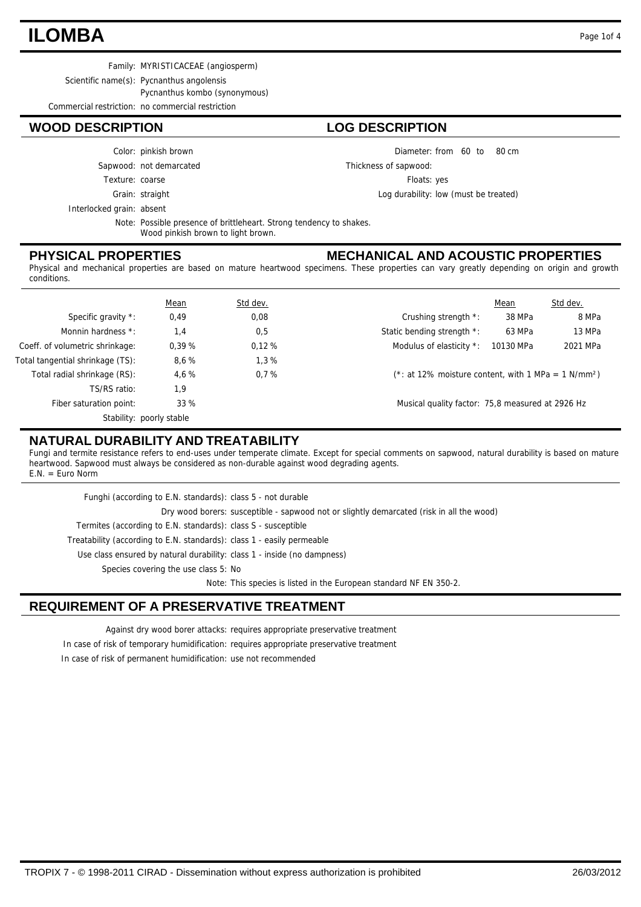## **ILOMBA** Page 1of 4

Family: MYRISTICACEAE (angiosperm)

Scientific name(s): Pycnanthus angolensis

Pycnanthus kombo (synonymous)

Commercial restriction: no commercial restriction

#### **WOOD DESCRIPTION LOG DESCRIPTION**

Color: pinkish brown

Sapwood: not demarcated

Texture: coarse

Grain: straight

Interlocked grain: absent

Note: Possible presence of brittleheart. Strong tendency to shakes. Wood pinkish brown to light brown.

#### **PHYSICAL PROPERTIES**

## **MECHANICAL AND ACOUSTIC PROPERTIES**

Diameter: from 60 to 80 cm

Log durability: low (must be treated)

Floats: yes

Thickness of sapwood:

Physical and mechanical properties are based on mature heartwood specimens. These properties can vary greatly depending on origin and growth conditions.

|                                  | <b>Mean</b>              | Std dev. |                                                                    | Mean      | Std dev. |
|----------------------------------|--------------------------|----------|--------------------------------------------------------------------|-----------|----------|
| Specific gravity *:              | 0,49                     | 0,08     | Crushing strength *:                                               | 38 MPa    | 8 MPa    |
| Monnin hardness *:               | 1,4                      | 0,5      | Static bending strength *:                                         | 63 MPa    | 13 MPa   |
| Coeff. of volumetric shrinkage:  | 0.39%                    | 0.12%    | Modulus of elasticity *:                                           | 10130 MPa | 2021 MPa |
| Total tangential shrinkage (TS): | 8.6%                     | 1,3%     |                                                                    |           |          |
| Total radial shrinkage (RS):     | 4.6%                     | 0.7%     | $(*: at 12\%$ moisture content, with 1 MPa = 1 N/mm <sup>2</sup> ) |           |          |
| TS/RS ratio:                     | 1,9                      |          |                                                                    |           |          |
| Fiber saturation point:          | 33%                      |          | Musical quality factor: 75,8 measured at 2926 Hz                   |           |          |
|                                  | Stability: poorly stable |          |                                                                    |           |          |

#### **NATURAL DURABILITY AND TREATABILITY**

Fungi and termite resistance refers to end-uses under temperate climate. Except for special comments on sapwood, natural durability is based on mature heartwood. Sapwood must always be considered as non-durable against wood degrading agents. E.N. = Euro Norm

| Funghi (according to E.N. standards): class 5 - not durable             |                                                                                          |
|-------------------------------------------------------------------------|------------------------------------------------------------------------------------------|
|                                                                         | Dry wood borers: susceptible - sapwood not or slightly demarcated (risk in all the wood) |
| Termites (according to E.N. standards): class S - susceptible           |                                                                                          |
| Treatability (according to E.N. standards): class 1 - easily permeable  |                                                                                          |
| Use class ensured by natural durability: class 1 - inside (no dampness) |                                                                                          |
| Species covering the use class 5: No                                    |                                                                                          |
|                                                                         | Note: This species is listed in the European standard NF EN 350-2.                       |

### **REQUIREMENT OF A PRESERVATIVE TREATMENT**

Against dry wood borer attacks: requires appropriate preservative treatment In case of risk of temporary humidification: requires appropriate preservative treatment In case of risk of permanent humidification: use not recommended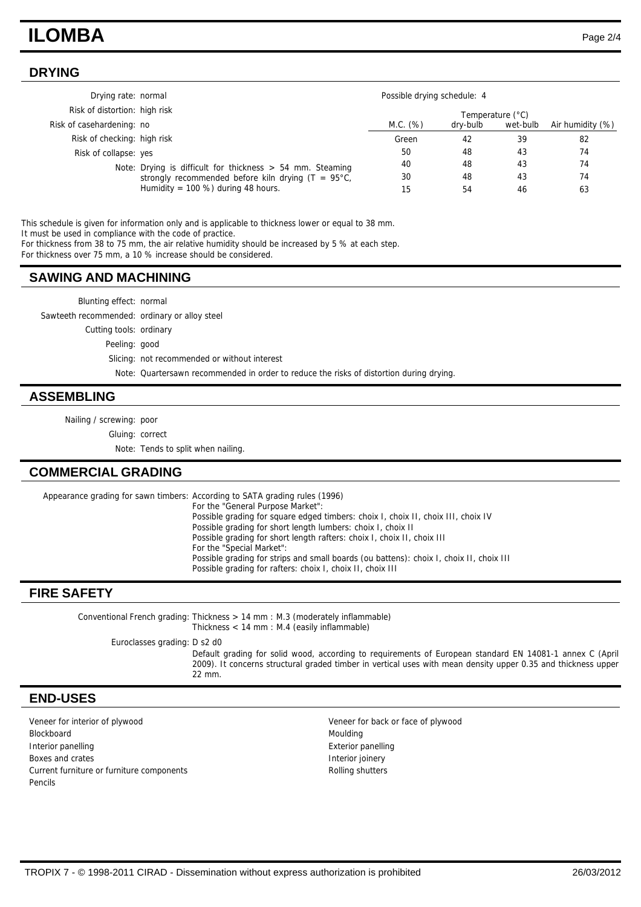## **ILOMBA** Page 2/4

### **DRYING**

| Drying rate: normal           |                                                               | Possible drying schedule: 4 |          |          |                  |
|-------------------------------|---------------------------------------------------------------|-----------------------------|----------|----------|------------------|
| Risk of distortion: high risk |                                                               | Temperature (°C)            |          |          |                  |
| Risk of casehardening: no     |                                                               | M.C. (%)                    | dry-bulb | wet-bulb | Air humidity (%) |
| Risk of checking: high risk   |                                                               | Green                       | 42       | 39       | 82               |
| Risk of collapse: yes         |                                                               | 50                          | 48       | 43       | 74               |
|                               | Note: Drying is difficult for thickness $> 54$ mm. Steaming   | 40                          | 48       | 43       | 74               |
|                               | strongly recommended before kiln drying $(T = 95^{\circ}C)$ , | 30                          | 48       | 43       | 74               |
|                               | Humidity = $100\%$ ) during 48 hours.                         | 15                          | 54       | 46       | 63               |

This schedule is given for information only and is applicable to thickness lower or equal to 38 mm. It must be used in compliance with the code of practice.

For thickness from 38 to 75 mm, the air relative humidity should be increased by 5 % at each step.

For thickness over 75 mm, a 10 % increase should be considered.

#### **SAWING AND MACHINING**

| Blunting effect: normal                       |                                                                                         |
|-----------------------------------------------|-----------------------------------------------------------------------------------------|
| Sawteeth recommended: ordinary or alloy steel |                                                                                         |
| Cutting tools: ordinary                       |                                                                                         |
| Peeling: good                                 |                                                                                         |
|                                               | Slicing: not recommended or without interest                                            |
|                                               | Note: Quartersawn recommended in order to reduce the risks of distortion during drying. |

#### **ASSEMBLING**

Nailing / screwing: poor

Gluing: correct

Note: Tends to split when nailing.

#### **COMMERCIAL GRADING**

Appearance grading for sawn timbers: According to SATA grading rules (1996) For the "General Purpose Market": Possible grading for square edged timbers: choix I, choix II, choix III, choix IV Possible grading for short length lumbers: choix I, choix II Possible grading for short length rafters: choix I, choix II, choix III For the "Special Market": Possible grading for strips and small boards (ou battens): choix I, choix II, choix III Possible grading for rafters: choix I, choix II, choix III

#### **FIRE SAFETY**

Thickness > 14 mm : M.3 (moderately inflammable) Thickness < 14 mm : M.4 (easily inflammable) Conventional French grading: Euroclasses grading: D s2 d0 Default grading for solid wood, according to requirements of European standard EN 14081-1 annex C (April 2009). It concerns structural graded timber in vertical uses with mean density upper 0.35 and thickness upper 22 mm.

#### **END-USES**

Veneer for interior of plywood Veneer for back or face of plywood Blockboard Moulding Interior panelling **Interior panelling** Exterior panelling Boxes and crates **Interior images** Interior joinery Current furniture or furniture components and a set of the Rolling shutters Pencils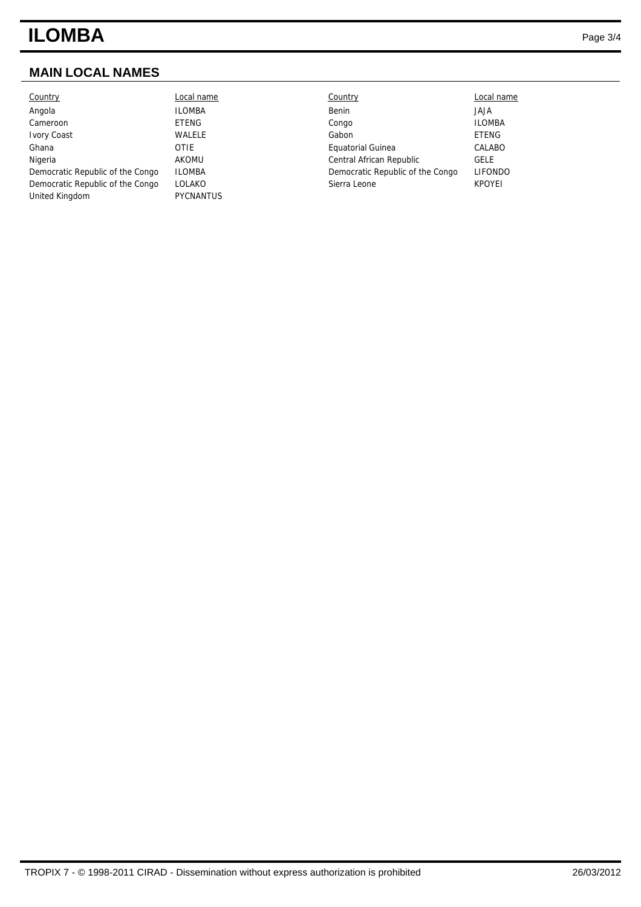# **ILOMBA** Page 3/4

## **MAIN LOCAL NAMES**

| Country                          | Local name       | Country                          | Local name     |
|----------------------------------|------------------|----------------------------------|----------------|
| Angola                           | <b>ILOMBA</b>    | Benin                            | <b>ALAL</b>    |
| Cameroon                         | ETENG            | Congo                            | <b>ILOMBA</b>  |
| <b>Ivory Coast</b>               | <b>WALELE</b>    | Gabon                            | <b>ETENG</b>   |
| Ghana                            | <b>OTIE</b>      | Equatorial Guinea                | CALABO         |
| Nigeria                          | AKOMU            | Central African Republic         | <b>GELE</b>    |
| Democratic Republic of the Congo | <b>ILOMBA</b>    | Democratic Republic of the Congo | <b>LIFONDO</b> |
| Democratic Republic of the Congo | LOLAKO           | Sierra Leone                     | <b>KPOYEI</b>  |
| United Kingdom                   | <b>PYCNANTUS</b> |                                  |                |